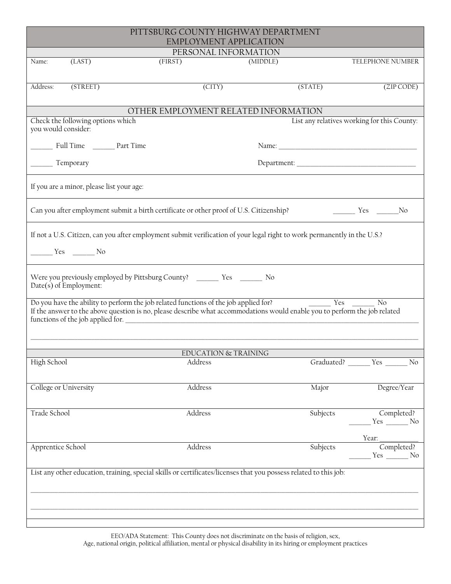| TELEPHONE NUMBER<br>$(ZIP$ CODE)                                                                                                                                                                                                |  |  |  |  |  |  |  |  |  |
|---------------------------------------------------------------------------------------------------------------------------------------------------------------------------------------------------------------------------------|--|--|--|--|--|--|--|--|--|
|                                                                                                                                                                                                                                 |  |  |  |  |  |  |  |  |  |
|                                                                                                                                                                                                                                 |  |  |  |  |  |  |  |  |  |
|                                                                                                                                                                                                                                 |  |  |  |  |  |  |  |  |  |
|                                                                                                                                                                                                                                 |  |  |  |  |  |  |  |  |  |
| OTHER EMPLOYMENT RELATED INFORMATION<br>List any relatives working for this County:<br>Check the following options which<br>you would consider:                                                                                 |  |  |  |  |  |  |  |  |  |
|                                                                                                                                                                                                                                 |  |  |  |  |  |  |  |  |  |
| Name:                                                                                                                                                                                                                           |  |  |  |  |  |  |  |  |  |
| Department:                                                                                                                                                                                                                     |  |  |  |  |  |  |  |  |  |
| If you are a minor, please list your age:                                                                                                                                                                                       |  |  |  |  |  |  |  |  |  |
| Can you after employment submit a birth certificate or other proof of U.S. Citizenship?<br>$\frac{1}{\sqrt{1-\frac{1}{2}}}\text{Yes } \frac{1}{\sqrt{1-\frac{1}{2}}}\text{No}$                                                  |  |  |  |  |  |  |  |  |  |
| If not a U.S. Citizen, can you after employment submit verification of your legal right to work permanently in the U.S.?<br>Yes No                                                                                              |  |  |  |  |  |  |  |  |  |
| Were you previously employed by Pittsburg County? _________ Yes ________ No<br>Date(s) of Employment:                                                                                                                           |  |  |  |  |  |  |  |  |  |
| Do you have the ability to perform the job related functions of the job applied for?<br>Yes<br>No<br>If the answer to the above question is no, please describe what accommodations would enable you to perform the job related |  |  |  |  |  |  |  |  |  |
| EDUCATION & TRAINING                                                                                                                                                                                                            |  |  |  |  |  |  |  |  |  |
| Graduated? Yes<br>No                                                                                                                                                                                                            |  |  |  |  |  |  |  |  |  |
|                                                                                                                                                                                                                                 |  |  |  |  |  |  |  |  |  |
| Degree/Year                                                                                                                                                                                                                     |  |  |  |  |  |  |  |  |  |
| Completed?<br>$Yes \t\t No$                                                                                                                                                                                                     |  |  |  |  |  |  |  |  |  |
|                                                                                                                                                                                                                                 |  |  |  |  |  |  |  |  |  |
| Completed?<br>$Yes$ No                                                                                                                                                                                                          |  |  |  |  |  |  |  |  |  |
| List any other education, training, special skills or certificates/licenses that you possess related to this job:                                                                                                               |  |  |  |  |  |  |  |  |  |
|                                                                                                                                                                                                                                 |  |  |  |  |  |  |  |  |  |
|                                                                                                                                                                                                                                 |  |  |  |  |  |  |  |  |  |
|                                                                                                                                                                                                                                 |  |  |  |  |  |  |  |  |  |

EEO/ADA Statement: This County does not discriminate on the basis of religion, sex, Age, national origin, political affiliation, mental or physical disability in its hiring or employment practices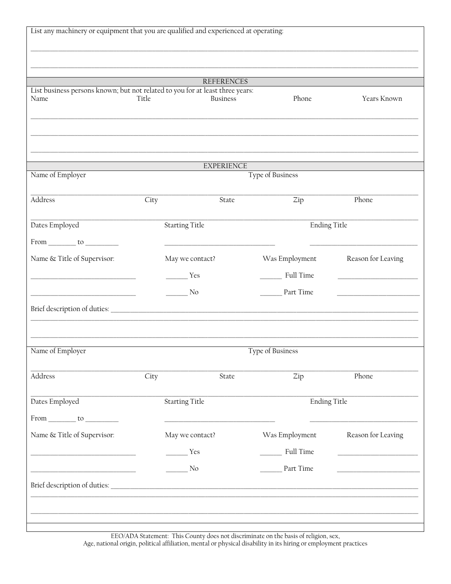| List business persons known; but not related to you for at least three years: |                             | <b>REFERENCES</b> |                     |                                                                                                                       |  |  |
|-------------------------------------------------------------------------------|-----------------------------|-------------------|---------------------|-----------------------------------------------------------------------------------------------------------------------|--|--|
| Name                                                                          | Title                       | <b>Business</b>   | Phone               | Years Known                                                                                                           |  |  |
|                                                                               |                             |                   |                     |                                                                                                                       |  |  |
|                                                                               |                             |                   |                     |                                                                                                                       |  |  |
|                                                                               |                             |                   |                     |                                                                                                                       |  |  |
|                                                                               |                             | <b>EXPERIENCE</b> |                     |                                                                                                                       |  |  |
| Name of Employer                                                              | <b>Type of Business</b>     |                   |                     |                                                                                                                       |  |  |
| Address                                                                       | City                        | State             | Zip                 | Phone                                                                                                                 |  |  |
|                                                                               |                             |                   |                     |                                                                                                                       |  |  |
| Dates Employed                                                                | <b>Starting Title</b>       |                   | <b>Ending Title</b> |                                                                                                                       |  |  |
| $From \_\_\_to \_\_\_$                                                        |                             |                   |                     |                                                                                                                       |  |  |
| Name & Title of Supervisor:                                                   |                             | May we contact?   | Was Employment      | Reason for Leaving                                                                                                    |  |  |
|                                                                               |                             | Yes               | Full Time           |                                                                                                                       |  |  |
| the control of the control of the control of the control of the control of    | No.                         |                   | Part Time           | the control of the control of the control of                                                                          |  |  |
| Brief description of duties:                                                  |                             |                   |                     |                                                                                                                       |  |  |
|                                                                               |                             |                   |                     |                                                                                                                       |  |  |
| Name of Employer                                                              |                             |                   | Type of Business    |                                                                                                                       |  |  |
|                                                                               |                             |                   |                     |                                                                                                                       |  |  |
| Address                                                                       | City                        | State             | Zip                 | Phone                                                                                                                 |  |  |
| Dates Employed                                                                | <b>Starting Title</b>       |                   | <b>Ending Title</b> |                                                                                                                       |  |  |
|                                                                               |                             |                   |                     |                                                                                                                       |  |  |
|                                                                               |                             |                   |                     |                                                                                                                       |  |  |
| Name & Title of Supervisor:                                                   |                             | May we contact?   | Was Employment      | Reason for Leaving                                                                                                    |  |  |
| the control of the control of the control of the control of the control of    | Yes                         |                   | Full Time           | <u> 1980 - Johann John Stone, markin amerikan bisa di sebagai pertama dan bagi pertama dan bagi pertama dan bagi </u> |  |  |
|                                                                               | $\overline{\phantom{1}}$ No |                   | Part Time           |                                                                                                                       |  |  |
|                                                                               |                             |                   |                     |                                                                                                                       |  |  |

EEO/ADA Statement: This County does not discriminate on the basis of religion, sex, Age, national origin, political affiliation, mental or physical disability in its hiring or employment practices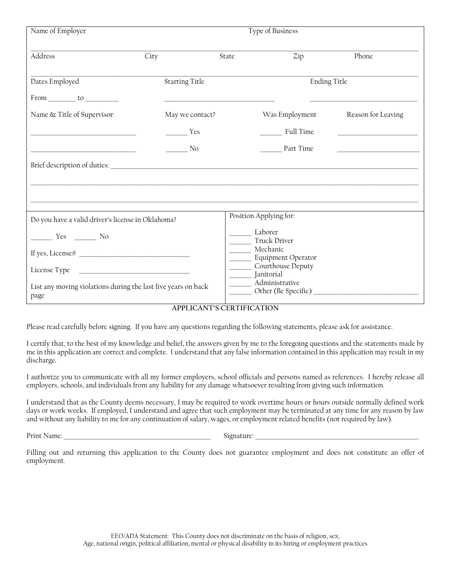| Name of Employer                                                                     | Type of Business                                                                                             |       |                                                                  |                    |  |
|--------------------------------------------------------------------------------------|--------------------------------------------------------------------------------------------------------------|-------|------------------------------------------------------------------|--------------------|--|
| Address<br>City                                                                      |                                                                                                              | State | Zip                                                              | Phone              |  |
| Dates Employed                                                                       | <b>Starting Title</b>                                                                                        |       | <b>Ending Title</b>                                              |                    |  |
| $From \_\_\_to \_\_\_to$<br>Name & Title of Supervisor:                              | the control of the control of the control of the control of the control of the control of<br>May we contact? |       | Was Employment                                                   | Reason for Leaving |  |
|                                                                                      | Yes                                                                                                          |       | <b>Full Time</b>                                                 |                    |  |
| the control of the control of the control of the control of the control of           | No.                                                                                                          |       | Part Time                                                        |                    |  |
|                                                                                      |                                                                                                              |       |                                                                  |                    |  |
| Do you have a valid driver's license in Oklahoma?                                    |                                                                                                              |       | Position Applying for:                                           |                    |  |
| $\frac{1}{\sqrt{1-\frac{1}{2}}}\text{Yes } \frac{1}{\sqrt{1-\frac{1}{2}}}\text{No }$ |                                                                                                              |       | Laborer<br><b>Truck Driver</b><br>Mechanic<br>Equipment Operator |                    |  |
| List any moving violations during the last five years on back<br>page                |                                                                                                              |       | Courthouse Deputy<br>______ Janitorial<br>_______ Administrative |                    |  |

## **APPLICANT'S CERTIFICATION**

Please read carefully before signing. If you have any questions regarding the following statements, please ask for assistance.

I certify that, to the best of my knowledge and belief, the answers given by me to the foregoing questions and the statements made by me in this application are correct and complete. I understand that any false information contained in this application may result in my discharge.

I authorize you to communicate with all my former employers, school officials and persons named as references. I hereby release all employers, schools, and individuals from any liability for any damage whatsoever resulting from giving such information.

I understand that as the County deems necessary, I may be required to work overtime hours or hours outside normally defined work days or work weeks. If employed, I understand and agree that such employment may be terminated at any time for any reason by law and without any liability to me for any continuation of salary, wages, or employment related benefits (not required by law).

Print Name: \_\_\_\_\_\_\_\_\_\_\_\_\_\_\_\_\_\_\_\_\_\_\_\_\_\_\_\_\_\_\_\_\_\_\_\_\_\_\_\_\_\_\_\_\_\_\_\_\_\_\_\_\_ Signature: \_\_\_\_\_\_\_\_\_\_\_\_\_\_\_\_\_\_\_\_\_\_\_\_\_\_\_\_\_\_\_\_\_\_\_\_\_\_\_\_\_\_\_\_\_\_\_\_\_\_\_\_\_\_\_\_\_\_\_

Filling out and returning this application to the County does not guarantee employment and does not constitute an offer of employment.